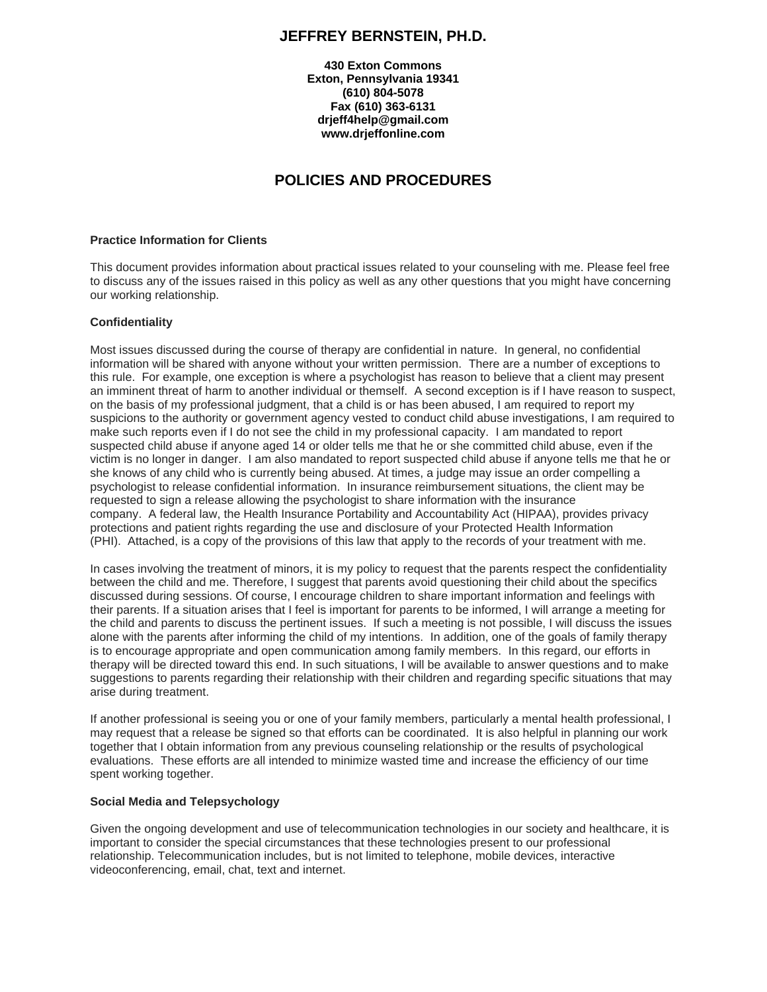## **JEFFREY BERNSTEIN, PH.D.**

**430 Exton Commons Exton, Pennsylvania 19341 [\(610\) 804-5078](tel:(610)%20804-5078) Fax [\(610\) 363-6131](tel:(610)%20363-6131) [drjeff4help@gmail.com](mailto:drjeff4help@gmail.com) [www.drjeffonline.com](http://www.drjeffonline.com/)**

## **POLICIES AND PROCEDURES**

## **Practice Information for Clients**

This document provides information about practical issues related to your counseling with me. Please feel free to discuss any of the issues raised in this policy as well as any other questions that you might have concerning our working relationship.

## **Confidentiality**

Most issues discussed during the course of therapy are confidential in nature. In general, no confidential information will be shared with anyone without your written permission. There are a number of exceptions to this rule. For example, one exception is where a psychologist has reason to believe that a client may present an imminent threat of harm to another individual or themself. A second exception is if I have reason to suspect, on the basis of my professional judgment, that a child is or has been abused, I am required to report my suspicions to the authority or government agency vested to conduct child abuse investigations, I am required to make such reports even if I do not see the child in my professional capacity. I am mandated to report suspected child abuse if anyone aged 14 or older tells me that he or she committed child abuse, even if the victim is no longer in danger. I am also mandated to report suspected child abuse if anyone tells me that he or she knows of any child who is currently being abused. At times, a judge may issue an order compelling a psychologist to release confidential information. In insurance reimbursement situations, the client may be requested to sign a release allowing the psychologist to share information with the insurance company. A federal law, the Health Insurance Portability and Accountability Act (HIPAA), provides privacy protections and patient rights regarding the use and disclosure of your Protected Health Information (PHI). Attached, is a copy of the provisions of this law that apply to the records of your treatment with me.

In cases involving the treatment of minors, it is my policy to request that the parents respect the confidentiality between the child and me. Therefore, I suggest that parents avoid questioning their child about the specifics discussed during sessions. Of course, I encourage children to share important information and feelings with their parents. If a situation arises that I feel is important for parents to be informed, I will arrange a meeting for the child and parents to discuss the pertinent issues. If such a meeting is not possible, I will discuss the issues alone with the parents after informing the child of my intentions. In addition, one of the goals of family therapy is to encourage appropriate and open communication among family members. In this regard, our efforts in therapy will be directed toward this end. In such situations, I will be available to answer questions and to make suggestions to parents regarding their relationship with their children and regarding specific situations that may arise during treatment.

If another professional is seeing you or one of your family members, particularly a mental health professional, I may request that a release be signed so that efforts can be coordinated. It is also helpful in planning our work together that I obtain information from any previous counseling relationship or the results of psychological evaluations. These efforts are all intended to minimize wasted time and increase the efficiency of our time spent working together.

#### **Social Media and Telepsychology**

Given the ongoing development and use of telecommunication technologies in our society and healthcare, it is important to consider the special circumstances that these technologies present to our professional relationship. Telecommunication includes, but is not limited to telephone, mobile devices, interactive videoconferencing, email, chat, text and internet.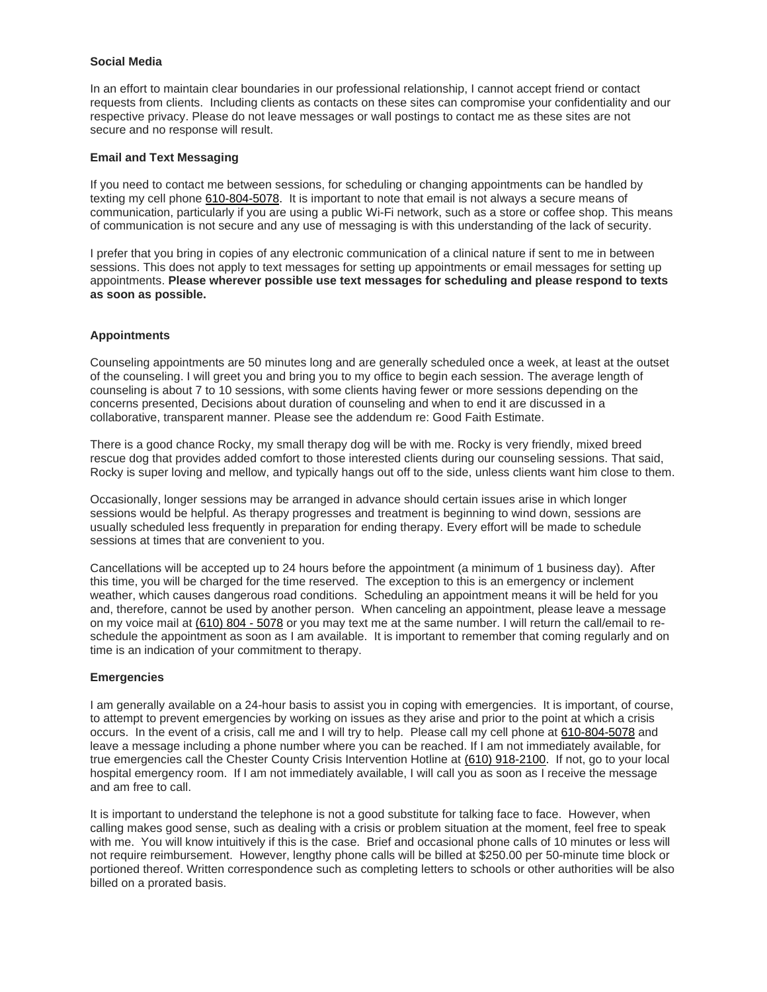## **Social Media**

In an effort to maintain clear boundaries in our professional relationship, I cannot accept friend or contact requests from clients. Including clients as contacts on these sites can compromise your confidentiality and our respective privacy. Please do not leave messages or wall postings to contact me as these sites are not secure and no response will result.

## **Email and Text Messaging**

If you need to contact me between sessions, for scheduling or changing appointments can be handled by texting my cell phone [610-804-5078.](mailto:610-804-5078) It is important to note that email is not always a secure means of communication, particularly if you are using a public Wi-Fi network, such as a store or coffee shop. This means of communication is not secure and any use of messaging is with this understanding of the lack of security.

I prefer that you bring in copies of any electronic communication of a clinical nature if sent to me in between sessions. This does not apply to text messages for setting up appointments or email messages for setting up appointments. **Please wherever possible use text messages for scheduling and please respond to texts as soon as possible.**

## **Appointments**

Counseling appointments are 50 minutes long and are generally scheduled once a week, at least at the outset of the counseling. I will greet you and bring you to my office to begin each session. The average length of counseling is about 7 to 10 sessions, with some clients having fewer or more sessions depending on the concerns presented, Decisions about duration of counseling and when to end it are discussed in a collaborative, transparent manner. Please see the addendum re: Good Faith Estimate.

There is a good chance Rocky, my small therapy dog will be with me. Rocky is very friendly, mixed breed rescue dog that provides added comfort to those interested clients during our counseling sessions. That said, Rocky is super loving and mellow, and typically hangs out off to the side, unless clients want him close to them.

Occasionally, longer sessions may be arranged in advance should certain issues arise in which longer sessions would be helpful. As therapy progresses and treatment is beginning to wind down, sessions are usually scheduled less frequently in preparation for ending therapy. Every effort will be made to schedule sessions at times that are convenient to you.

Cancellations will be accepted up to 24 hours before the appointment (a minimum of 1 business day). After this time, you will be charged for the time reserved. The exception to this is an emergency or inclement weather, which causes dangerous road conditions. Scheduling an appointment means it will be held for you and, therefore, cannot be used by another person. When canceling an appointment, please leave a message on my voice mail at [\(610\) 804 -](tel:(610)%20804-5078) 5078 or you may text me at the same number. I will return the call/email to reschedule the appointment as soon as I am available. It is important to remember that coming regularly and on time is an indication of your commitment to therapy.

#### **Emergencies**

I am generally available on a 24-hour basis to assist you in coping with emergencies. It is important, of course, to attempt to prevent emergencies by working on issues as they arise and prior to the point at which a crisis occurs. In the event of a crisis, call me and I will try to help. Please call my cell phone at [610-804-5078](tel:(610)%20804-5078) and leave a message including a phone number where you can be reached. If I am not immediately available, for true emergencies call the Chester County Crisis Intervention Hotline at [\(610\) 918-2100.](tel:(610)%20918-2100) If not, go to your local hospital emergency room. If I am not immediately available, I will call you as soon as I receive the message and am free to call.

It is important to understand the telephone is not a good substitute for talking face to face. However, when calling makes good sense, such as dealing with a crisis or problem situation at the moment, feel free to speak with me. You will know intuitively if this is the case. Brief and occasional phone calls of 10 minutes or less will not require reimbursement. However, lengthy phone calls will be billed at \$250.00 per 50-minute time block or portioned thereof. Written correspondence such as completing letters to schools or other authorities will be also billed on a prorated basis.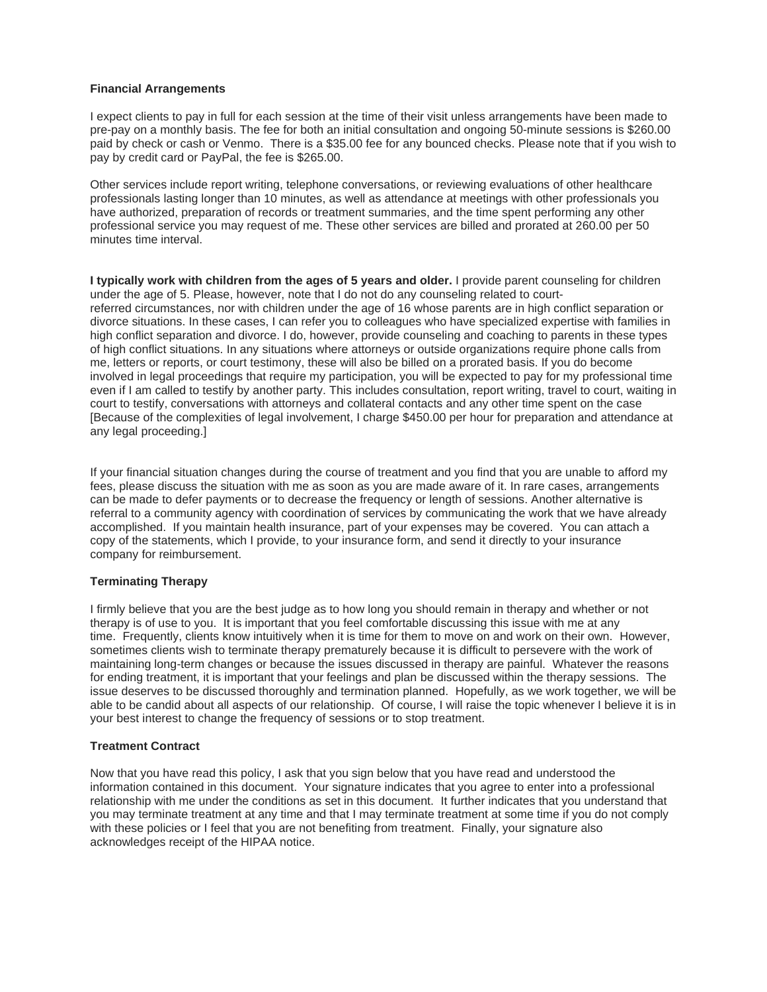## **Financial Arrangements**

I expect clients to pay in full for each session at the time of their visit unless arrangements have been made to pre-pay on a monthly basis. The fee for both an initial consultation and ongoing 50-minute sessions is \$260.00 paid by check or cash or Venmo. There is a \$35.00 fee for any bounced checks. Please note that if you wish to pay by credit card or PayPal, the fee is \$265.00.

Other services include report writing, telephone conversations, or reviewing evaluations of other healthcare professionals lasting longer than 10 minutes, as well as attendance at meetings with other professionals you have authorized, preparation of records or treatment summaries, and the time spent performing any other professional service you may request of me. These other services are billed and prorated at 260.00 per 50 minutes time interval.

**I typically work with children from the ages of 5 years and older.** I provide parent counseling for children under the age of 5. Please, however, note that I do not do any counseling related to courtreferred circumstances, nor with children under the age of 16 whose parents are in high conflict separation or divorce situations. In these cases, I can refer you to colleagues who have specialized expertise with families in high conflict separation and divorce. I do, however, provide counseling and coaching to parents in these types of high conflict situations. In any situations where attorneys or outside organizations require phone calls from me, letters or reports, or court testimony, these will also be billed on a prorated basis. If you do become involved in legal proceedings that require my participation, you will be expected to pay for my professional time even if I am called to testify by another party. This includes consultation, report writing, travel to court, waiting in court to testify, conversations with attorneys and collateral contacts and any other time spent on the case [Because of the complexities of legal involvement, I charge \$450.00 per hour for preparation and attendance at any legal proceeding.]

If your financial situation changes during the course of treatment and you find that you are unable to afford my fees, please discuss the situation with me as soon as you are made aware of it. In rare cases, arrangements can be made to defer payments or to decrease the frequency or length of sessions. Another alternative is referral to a community agency with coordination of services by communicating the work that we have already accomplished. If you maintain health insurance, part of your expenses may be covered. You can attach a copy of the statements, which I provide, to your insurance form, and send it directly to your insurance company for reimbursement.

## **Terminating Therapy**

I firmly believe that you are the best judge as to how long you should remain in therapy and whether or not therapy is of use to you. It is important that you feel comfortable discussing this issue with me at any time. Frequently, clients know intuitively when it is time for them to move on and work on their own. However, sometimes clients wish to terminate therapy prematurely because it is difficult to persevere with the work of maintaining long-term changes or because the issues discussed in therapy are painful. Whatever the reasons for ending treatment, it is important that your feelings and plan be discussed within the therapy sessions. The issue deserves to be discussed thoroughly and termination planned. Hopefully, as we work together, we will be able to be candid about all aspects of our relationship. Of course, I will raise the topic whenever I believe it is in your best interest to change the frequency of sessions or to stop treatment.

## **Treatment Contract**

Now that you have read this policy, I ask that you sign below that you have read and understood the information contained in this document. Your signature indicates that you agree to enter into a professional relationship with me under the conditions as set in this document. It further indicates that you understand that you may terminate treatment at any time and that I may terminate treatment at some time if you do not comply with these policies or I feel that you are not benefiting from treatment. Finally, your signature also acknowledges receipt of the HIPAA notice.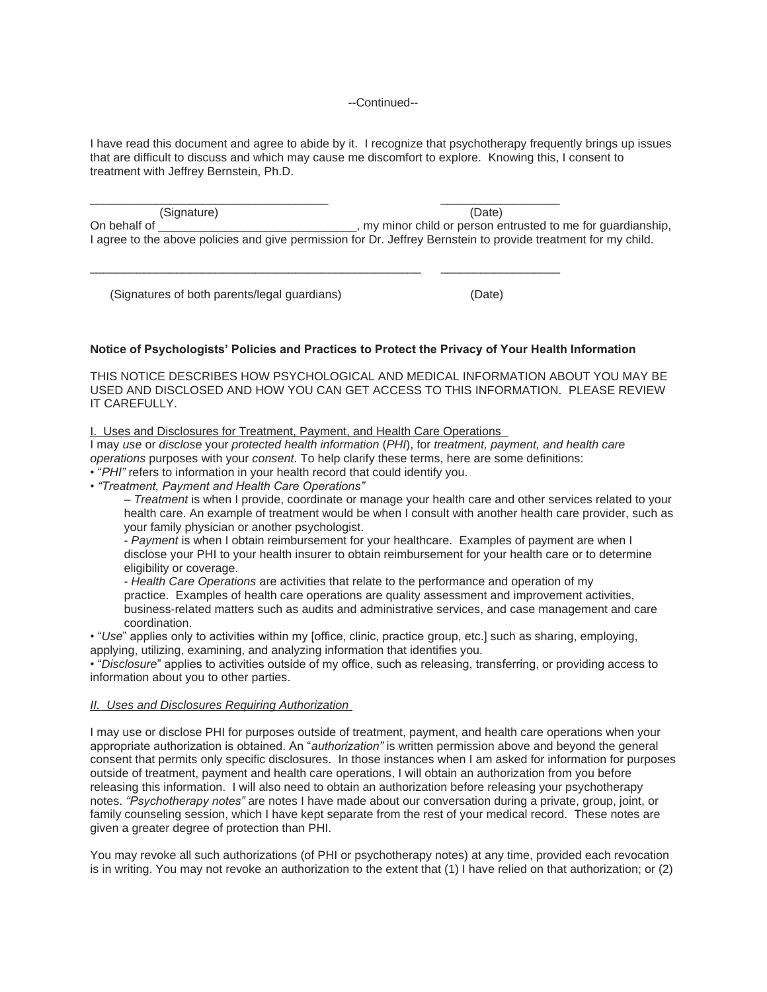## --Continued--

I have read this document and agree to abide by it. I recognize that psychotherapy frequently brings up issues that are difficult to discuss and which may cause me discomfort to explore. Knowing this, I consent to treatment with Jeffrey Bernstein, Ph.D.

\_\_\_\_\_\_\_\_\_\_\_\_\_\_\_\_\_\_\_\_\_\_\_\_\_\_\_\_\_\_\_\_\_\_\_\_ \_\_\_\_\_\_\_\_\_\_\_\_\_\_\_\_\_\_ (Signature) (Date) On behalf of \_\_\_\_\_\_\_\_\_\_\_\_\_\_\_\_\_\_\_\_\_\_\_\_\_\_\_\_\_, my minor child or person entrusted to me for guardianship, I agree to the above policies and give permission for Dr. Jeffrey Bernstein to provide treatment for my child.

(Signatures of both parents/legal guardians) (Date)

## **Notice of Psychologists' Policies and Practices to Protect the Privacy of Your Health Information**

\_\_\_\_\_\_\_\_\_\_\_\_\_\_\_\_\_\_\_\_\_\_\_\_\_\_\_\_\_\_\_\_\_\_\_\_\_\_\_\_\_\_\_\_\_\_\_\_\_\_ \_\_\_\_\_\_\_\_\_\_\_\_\_\_\_\_\_\_

THIS NOTICE DESCRIBES HOW PSYCHOLOGICAL AND MEDICAL INFORMATION ABOUT YOU MAY BE USED AND DISCLOSED AND HOW YOU CAN GET ACCESS TO THIS INFORMATION. PLEASE REVIEW IT CAREFULLY.

#### I. Uses and Disclosures for Treatment, Payment, and Health Care Operations

I may *use* or *disclose* your *protected health information* (*PHI*), for *treatment, payment, and health care operations* purposes with your *consent*. To help clarify these terms, here are some definitions:

• "*PHI"* refers to information in your health record that could identify you.

• *"Treatment, Payment and Health Care Operations"*

– *Treatment* is when I provide, coordinate or manage your health care and other services related to your health care. An example of treatment would be when I consult with another health care provider, such as your family physician or another psychologist.

- *Payment* is when I obtain reimbursement for your healthcare. Examples of payment are when I disclose your PHI to your health insurer to obtain reimbursement for your health care or to determine eligibility or coverage.

- *Health Care Operations* are activities that relate to the performance and operation of my practice. Examples of health care operations are quality assessment and improvement activities, business-related matters such as audits and administrative services, and case management and care coordination.

• "*Use*" applies only to activities within my [office, clinic, practice group, etc.] such as sharing, employing, applying, utilizing, examining, and analyzing information that identifies you.

• "*Disclosure*" applies to activities outside of my office, such as releasing, transferring, or providing access to information about you to other parties.

#### *II. Uses and Disclosures Requiring Authorization*

I may use or disclose PHI for purposes outside of treatment, payment, and health care operations when your appropriate authorization is obtained. An "*authorization"* is written permission above and beyond the general consent that permits only specific disclosures. In those instances when I am asked for information for purposes outside of treatment, payment and health care operations, I will obtain an authorization from you before releasing this information. I will also need to obtain an authorization before releasing your psychotherapy notes. *"Psychotherapy notes"* are notes I have made about our conversation during a private, group, joint, or family counseling session, which I have kept separate from the rest of your medical record. These notes are given a greater degree of protection than PHI.

You may revoke all such authorizations (of PHI or psychotherapy notes) at any time, provided each revocation is in writing. You may not revoke an authorization to the extent that (1) I have relied on that authorization; or (2)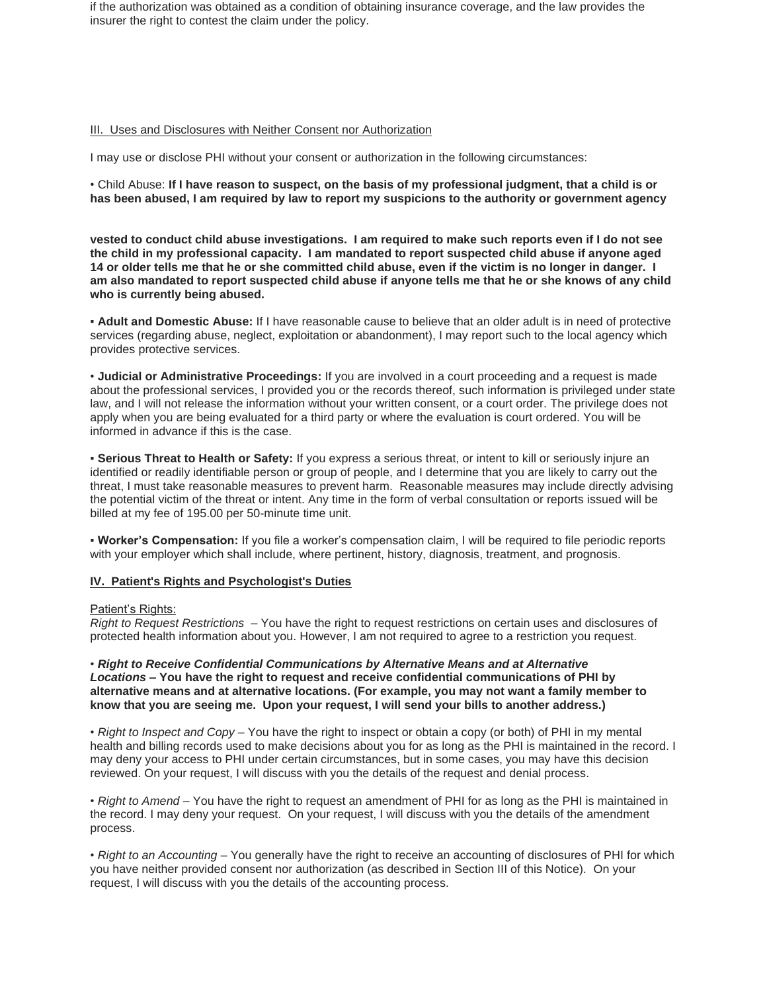if the authorization was obtained as a condition of obtaining insurance coverage, and the law provides the insurer the right to contest the claim under the policy.

#### III. Uses and Disclosures with Neither Consent nor Authorization

I may use or disclose PHI without your consent or authorization in the following circumstances:

• Child Abuse: **If I have reason to suspect, on the basis of my professional judgment, that a child is or has been abused, I am required by law to report my suspicions to the authority or government agency** 

**vested to conduct child abuse investigations. I am required to make such reports even if I do not see the child in my professional capacity. I am mandated to report suspected child abuse if anyone aged 14 or older tells me that he or she committed child abuse, even if the victim is no longer in danger. I am also mandated to report suspected child abuse if anyone tells me that he or she knows of any child who is currently being abused.**

▪ **Adult and Domestic Abuse:** If I have reasonable cause to believe that an older adult is in need of protective services (regarding abuse, neglect, exploitation or abandonment), I may report such to the local agency which provides protective services.

• **Judicial or Administrative Proceedings:** If you are involved in a court proceeding and a request is made about the professional services, I provided you or the records thereof, such information is privileged under state law, and I will not release the information without your written consent, or a court order. The privilege does not apply when you are being evaluated for a third party or where the evaluation is court ordered. You will be informed in advance if this is the case.

▪ **Serious Threat to Health or Safety:** If you express a serious threat, or intent to kill or seriously injure an identified or readily identifiable person or group of people, and I determine that you are likely to carry out the threat, I must take reasonable measures to prevent harm. Reasonable measures may include directly advising the potential victim of the threat or intent. Any time in the form of verbal consultation or reports issued will be billed at my fee of 195.00 per 50-minute time unit.

▪ **Worker's Compensation:** If you file a worker's compensation claim, I will be required to file periodic reports with your employer which shall include, where pertinent, history, diagnosis, treatment, and prognosis.

#### **IV. Patient's Rights and Psychologist's Duties**

#### Patient's Rights:

*Right to Request Restrictions* – You have the right to request restrictions on certain uses and disclosures of protected health information about you. However, I am not required to agree to a restriction you request.

## • *Right to Receive Confidential Communications by Alternative Means and at Alternative Locations* **– You have the right to request and receive confidential communications of PHI by alternative means and at alternative locations. (For example, you may not want a family member to know that you are seeing me. Upon your request, I will send your bills to another address.)**

• *Right to Inspect and Copy* – You have the right to inspect or obtain a copy (or both) of PHI in my mental health and billing records used to make decisions about you for as long as the PHI is maintained in the record. I may deny your access to PHI under certain circumstances, but in some cases, you may have this decision reviewed. On your request, I will discuss with you the details of the request and denial process.

• *Right to Amend* – You have the right to request an amendment of PHI for as long as the PHI is maintained in the record. I may deny your request. On your request, I will discuss with you the details of the amendment process.

• *Right to an Accounting* – You generally have the right to receive an accounting of disclosures of PHI for which you have neither provided consent nor authorization (as described in Section III of this Notice). On your request, I will discuss with you the details of the accounting process.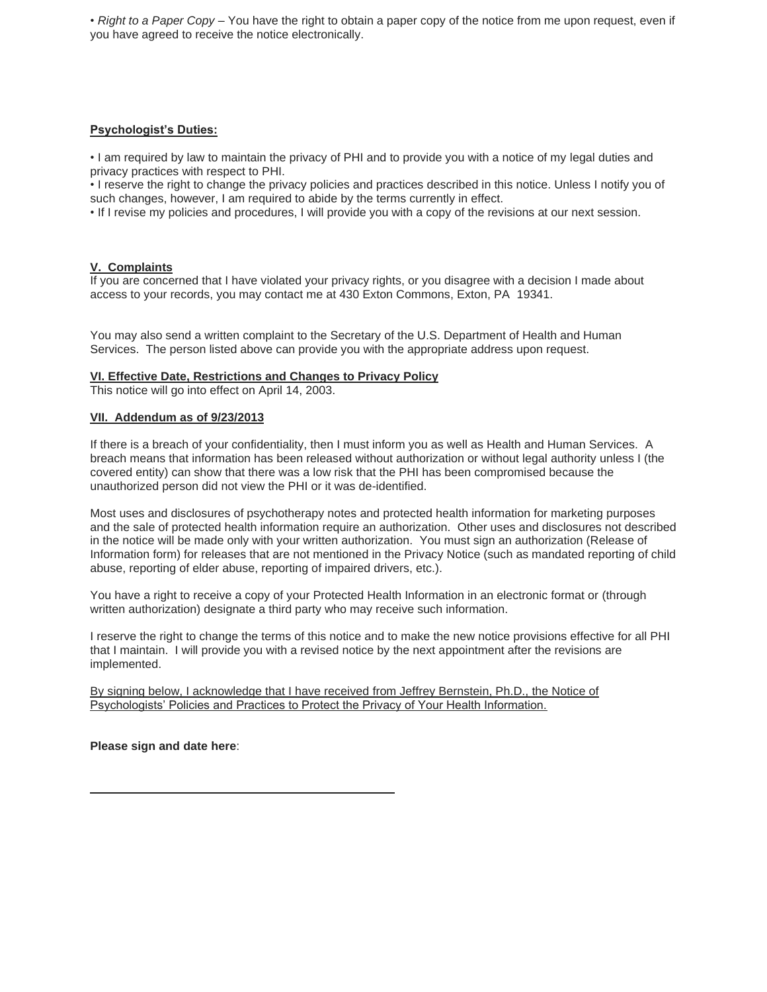• *Right to a Paper Copy* – You have the right to obtain a paper copy of the notice from me upon request, even if you have agreed to receive the notice electronically.

## **Psychologist's Duties:**

• I am required by law to maintain the privacy of PHI and to provide you with a notice of my legal duties and privacy practices with respect to PHI.

• I reserve the right to change the privacy policies and practices described in this notice. Unless I notify you of such changes, however, I am required to abide by the terms currently in effect.

• If I revise my policies and procedures, I will provide you with a copy of the revisions at our next session.

#### **V. Complaints**

If you are concerned that I have violated your privacy rights, or you disagree with a decision I made about access to your records, you may contact me at 430 Exton Commons, Exton, PA 19341.

You may also send a written complaint to the Secretary of the U.S. Department of Health and Human Services. The person listed above can provide you with the appropriate address upon request.

#### **VI. Effective Date, Restrictions and Changes to Privacy Policy**

This notice will go into effect on April 14, 2003.

#### **VII. Addendum as of 9/23/2013**

If there is a breach of your confidentiality, then I must inform you as well as Health and Human Services. A breach means that information has been released without authorization or without legal authority unless I (the covered entity) can show that there was a low risk that the PHI has been compromised because the unauthorized person did not view the PHI or it was de-identified.

Most uses and disclosures of psychotherapy notes and protected health information for marketing purposes and the sale of protected health information require an authorization. Other uses and disclosures not described in the notice will be made only with your written authorization. You must sign an authorization (Release of Information form) for releases that are not mentioned in the Privacy Notice (such as mandated reporting of child abuse, reporting of elder abuse, reporting of impaired drivers, etc.).

You have a right to receive a copy of your Protected Health Information in an electronic format or (through written authorization) designate a third party who may receive such information.

I reserve the right to change the terms of this notice and to make the new notice provisions effective for all PHI that I maintain. I will provide you with a revised notice by the next appointment after the revisions are implemented.

By signing below, I acknowledge that I have received from Jeffrey Bernstein, Ph.D., the Notice of Psychologists' Policies and Practices to Protect the Privacy of Your Health Information.

**Please sign and date here**:

\_\_\_\_\_\_\_\_\_\_\_\_\_\_\_\_\_\_\_\_\_\_\_\_\_\_\_\_\_\_\_\_\_\_\_\_\_\_\_\_\_\_\_\_\_\_